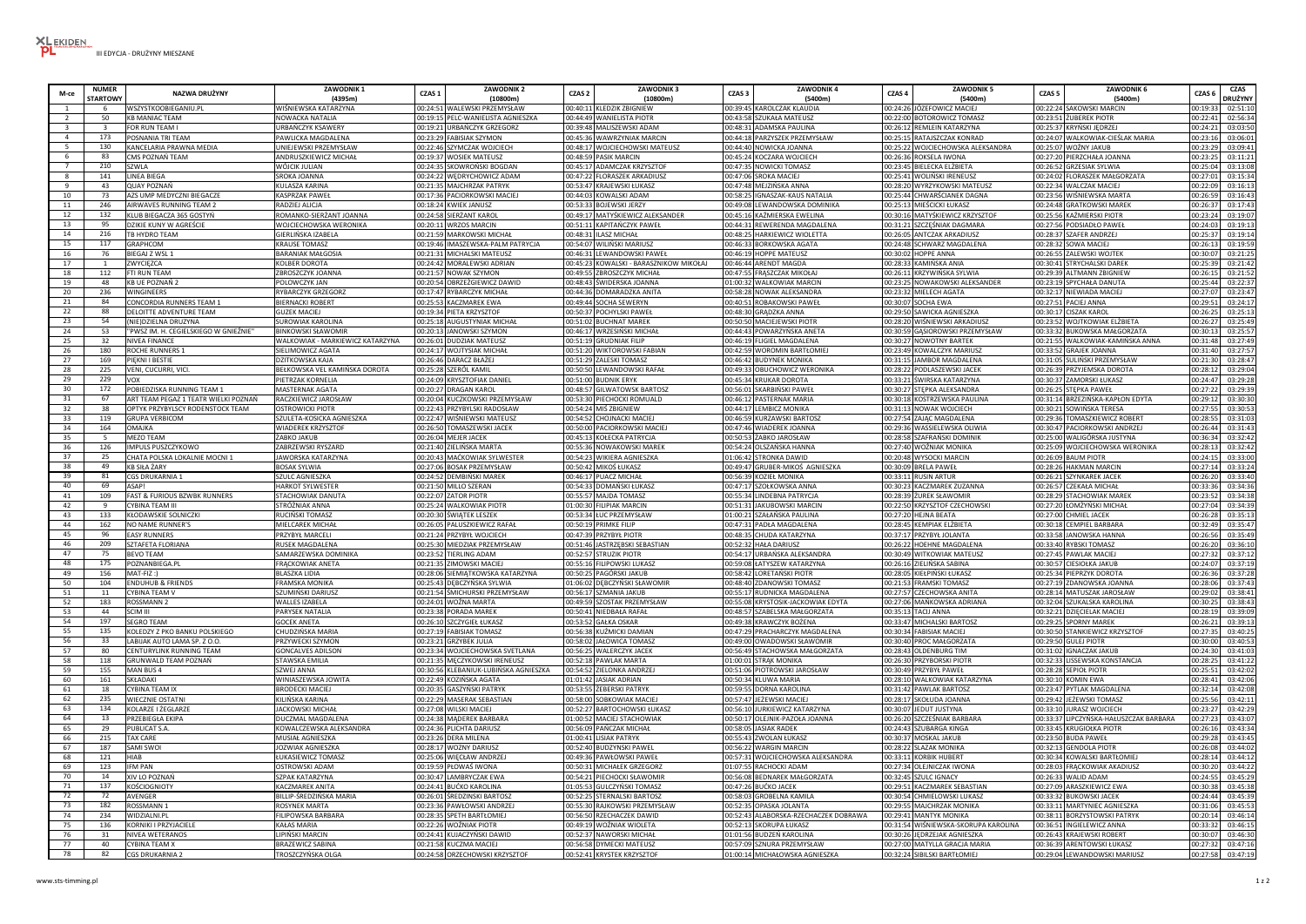| M-ce           | <b>NUMER</b><br><b>TARTOWY</b> | NAZWA DRUŻYNY                         | <b>ZAWODNIK1</b><br>(4395m       | CZAS <sub>1</sub> | <b>ZAWODNIK 2</b><br>(10800m)         | CZAS <sub>2</sub> | <b>ZAWODNIK3</b><br>(10800m)            | <b>ZAWODNIK4</b><br>CZAS <sub>3</sub><br>(5400m) | CZAS 4 | <b>ZAWODNIK 5</b><br>(5400m)         | CZAS <sub>5</sub> | ZAWODNIK 6<br>(5400m)                  | CZAS <sub>6</sub> | CZAS<br><b>DRUŻYNY</b> |
|----------------|--------------------------------|---------------------------------------|----------------------------------|-------------------|---------------------------------------|-------------------|-----------------------------------------|--------------------------------------------------|--------|--------------------------------------|-------------------|----------------------------------------|-------------------|------------------------|
|                |                                | WSZYSTKOOBIEGANIU.PL                  | WIŚNIEWSKA KATARZYNA             |                   | 00:24:51 WALEWSKI PRZEMYSŁAW          |                   | 00:40:11 KLEDZIK ZBIGNIEW               | 00:39:45 KAROLCZAK KLAUDIA                       |        | 00:24:26 JÓZEFOWICZ MACIEJ           |                   | 00:22:24 SAKOWSKI MARCIN               | 00:19:33          | 02:51:1                |
| $\overline{z}$ | $50^{\circ}$                   | <b>KB MANIAC TEAM</b>                 | NOWACKA NATALIA                  |                   | 00:19:15 PELC-WANIELISTA AGNIESZKA    |                   | 00:44:49 WANIELISTA PIOTR               | 00:43:58 SZUKAŁA MATEUSZ                         |        | 00:22:00 BOTOROWICZ TOMASZ           |                   | 00:23:51 ŻUBEREK PIOTR                 | 00:22:41          | 02:56:3                |
| $\mathbf{3}$   |                                | FOR RUN TEAM I                        | URBAŃCZYK KSAWERY                |                   | 00:19:21 URBAŃCZYK GRZEGORZ           |                   | 00:39:48 MALISZEWSKI ADAM               | 00:48:31 ADAMSKA PAULINA                         |        | 00:26:12 REMLEIN KATARZYNA           |                   | 00:25:37 KRYŃSKI JĘDRZEJ               | 00:24:21          | 03:03:5                |
| $\overline{4}$ | 173                            | POSNANIA TRI TEAM                     | PAWLICKA MAGDALENA               |                   | 00:23:29 FABISIAK SZYMON              |                   | 00:45:36 WAWRZYNIAK MARCIN              | 00:44:18 PARZYSZEK PRZEMYSŁAW                    |        | 00:25:15 RATAJSZCZAK KONRAD          |                   | 00:24:07 WALKOWIAK-CIEŚLAK MARIA       | 00:23:1           | 03:06:                 |
| -5.            | 130                            | KANCELARIA PRAWNA MEDIA               | UNIEJEWSKI PRZEMYSŁAW            |                   | 00:22:46 SZYMCZAK WOJCIECH            |                   | 00:48:17 WOJCIECHOWSKI MATEUSZ          | 00:44:40 NOWICKA JOANNA                          |        | 00:25:22 WOJCIECHOWSKA ALEKSANDRA    |                   | 00:25:07 WOŹNY JAKUB                   | 00:23:29          | 03:09:4                |
| 6              | 83                             | CMS POZNAŃ TFAM                       | ANDRUSZKIEWICZ MICHAŁ            |                   | 00:19:37 WOSIEK MATEUSZ               |                   | 00:48:59 PASIK MARCIN                   | 00:45:24 KOCZARA WOJCIECH                        |        | 00:26:36 ROKSELA IWONA               |                   | 00:27:20 PIFRZCHAŁA IOANNA             | 00:23:25          | 03:11:2                |
|                | 210                            | SZWLA                                 | WÓJCIK JULIAN                    |                   | 00:24:35 SKOWROŃSKI BOGDAN            |                   | 00:45:17 ADAMCZAK KRZYSZTOF             | 00:47:35 NOWICKI TOMASZ                          |        | 00:23:45 BIELECKA ELŻBIETA           |                   | 00:26:52 GRZESIAK SYLWIA               | 00:25:04          | 03:13:08               |
|                | 141                            | <b>LINEA BIEGA</b>                    | SROKA JOANNA                     |                   | 00:24:22 WEDRYCHOWICZ ADAM            |                   | 00:47:22 FLORASZEK ARKADIUSZ            | 00:47:06 SROKA MACIEJ                            |        | 00:25:41 WOLIŃSKI IRENEUSZ           |                   | 00:24:02 FLORASZEK MAŁGORZATA          | 00:27:0           | 03:15:3                |
| $\mathbf{q}$   | 43                             | <b>OUAY POZNAŃ</b>                    | KULASZA KARINA                   |                   | 00:21:35 MAJCHRZAK PATRYK             |                   | 00:53:47 KRAJEWSKI ŁUKASZ               | 00:47:48 MEJZIŃSKA ANNA                          |        | 00:28:20 WYRZYKOWSKI MATEUSZ         |                   | 00:22:34 WALCZAK MACIEJ                | 00:22:0           | 03:16:1                |
| 10             | 73                             | AZS UMP MEDYCZNI BIEGACZE             | <b>KASPRZAK PAWF</b>             |                   | 00:17:36 PACIORKOWSKI MACIEJ          |                   | 00:44:03 KOWALSKI ADAM                  | 00:58:25 IGNASZAK-KAUS NATALIA                   |        | 00:25:44 CHWARŚCIANEK DAGNA          |                   | 00:23:56 WIŚNIEWSKA MARTA              | 00:26:5           | 03:16:4                |
| 11             | 246                            | AIRWAVES RUNNING TEAM 2               | RADZIEJ ALICJA                   |                   | 00:18:24 KWIEK JANUSZ                 |                   | 00:53:33 BOJEWSKI JERZY                 | 00:49:08 LEWANDOWSKA DOMINIKA                    |        | 00:25:13 MIEŚCICKI ŁUKASZ            |                   | 00:24:48 GRATKOWSKI MAREK              | 00:26:3           | 03:17:4                |
| 12             | 132                            | KLUB BIEGACZA 365 GOSTYŃ              | ROMANKO-SIERŻANT JOANNA          |                   | 00:24:58 SIERŻANT KAROL               |                   | 00:49:17 MATYŚKIEWICZ ALEKSANDER        | 00:45:16 KAŹMIERSKA EWELINA                      |        | 00:30:16 MATYŚKIEWICZ KRZYSZTOF      |                   | 00:25:56 KAŹMIERSKI PIOTR              | 00:23:24          | 03:19:0                |
| 13             | 95                             | DZIKIE KUNY W AGREŚCIE                | WOJCIECHOWSKA WERONIKA           |                   | 00:20:11 WRZOS MARCIN                 |                   | 00:51:11 KAPITAŃCZYK PAWEŁ              | 00:44:31 REWERENDA MAGDALENA                     |        | 00:31:21 SZCZĘŚNIAK DAGMARA          |                   | 00:27:56 PODSIADŁO PAWEŁ               | 00:24:03          | 03:19:1                |
| 14             | 216                            | TR HYDRO TFAM                         | GIFRI IŃSKA IZABFI A             |                   | 00:21:59 MARKOWSKI MICHAŁ             |                   | 00:48:31 II ASZ MICHAŁ                  | 00:48:25 HARKIEWICZ WIOLETTA                     |        | 00:26:05 ANTCZAK ARKADIUSZ           |                   | 00:28:37 SZAFER ANDRZEJ                | 00:25:3           | 03:19:1                |
| 15             | 117                            | <b>GRAPHCOM</b>                       | <b>KRAUSE TOMASZ</b>             |                   | 00:19:46 IMASZEWSKA-PALM PATRYCJA     |                   | 00:54:07 WILIŃSKI MARIUSZ               | 00:46:33 BORKOWSKA AGATA                         |        | 00:24:48 SCHWARZ MAGDALENA           |                   | 00:28:32 SOWA MACIEJ                   | 00:26:1           | 03:19:                 |
| 16             | 76                             | BIEGAJ Z WSL 1                        | <b>BARANIAK MAŁGOSIA</b>         |                   | 00:21:31 MICHALSKI MATEUSZ            |                   | 00:46:31 LEWANDOWSKI PAWEŁ              | 00:46:19 HOPPE MATEUSZ                           |        | 00:30:02 HOPPE ANNA                  |                   | 00:26:55 ZALEWSKI WOJTEK               | 00:30:07          | 03:21:2                |
| 17             | $\overline{1}$                 | ZWYCIĘZCA                             | KOLBER DOROTA                    |                   | 00:24:42 MORALEWSKI ADRIAN            |                   | 00:45:23 KOWALSKI - BARASZNIKOW MIKOŁAJ | 00:46:44 ARENDT MAGDA                            |        | 00:28:33 KAMIŃSKA ANIA               |                   | 00:30:41 STRYCHALSKI DAREH             | 00:25:3           | 03:21:4                |
| 18             | 112                            | FTI RUN TEAM                          | ZBROSZCZYK JOANNA                |                   | 00:21:57 NOWAK SZYMON                 |                   | 00:49:55 ZBROSZCZYK MICHAŁ              | 00:47:55 FRASZCZAK MIKOŁAJ                       |        | 00:26:11 KRZYWIŃSKA SYLWIA           |                   | 00:29:39 ALTMANN ZBIGNIEW              | 00:26:1           | 03:21:5                |
| 19             | 48                             | KB UE POZNAŃ 2                        | POLOWCZYK JAN                    |                   | 00:20:54 OBRZEŻGIEWICZ DAWID          |                   | 00:48:43 ŚWIDERSKA JOANNA               | 01:00:32 WALKOWIAK MARCIN                        |        | 00:23:25 NOWAKOWSKI ALEKSANDER       |                   | 00:23:19 SPYCHAŁA DANUTA               | 00:25:44          | 03:22:3                |
| 20             | 236                            | WINGINEERS                            | RYBARCZYK GRZEGORZ               |                   | 00:17:47 RYBARCZYK MICHAŁ             |                   | 00:44:36 DOMARADZKA ANITA               | 00:58:28 NOWAK ALEKSANDRA                        |        | 00:23:32 MIELECH AGATA               |                   | 00:32:17 NIEWIADA MACIEJ               | 00:27:07          | 03:23:4                |
| 21             | 84                             | CONCORDIA RUNNERS TEAM 1              | <b>BIFRNACKI ROBERT</b>          |                   | 00:25:53 KACZMAREK EWA                |                   | 00:49:44 SOCHA SEWERYN                  | 00:40:51 ROBAKOWSKI PAWEŁ                        |        | 00:30:07 SOCHA EWA                   |                   | 00:27:51 PACIEJ ANNA                   | 00:29:51          | 03:24:1                |
| 22             | 88                             | DELOITTE ADVENTURE TEAM               | <b>GUZEK MACIE.</b>              |                   | 00:19:34 PIETA KRZYSZTOF              |                   | 00:50:37 POCHYLSKI PAWEŁ                | 00:48:30 GRADZKA ANNA                            |        | 00:29:50 SAWICKA AGNIESZKA           |                   | 00:30:17 CISZAK KAROL                  | 00:26:25          | 03:25:1                |
| 23             | 54                             | (NIE)DZIELNA DRUZYNA                  | SUROWIAK KAROLINA                |                   | 00:25:18 AUGUSTYNIAK MICHAŁ           |                   | 00:51:02 BUCHNAT MAREK                  | 00:50:50 MACIEJEWSKI PIOTR                       |        | 00:28:20 WIŚNIEWSKI ARKADIUSZ        |                   | 00:23:52 WOJTKOWIAK ELŻBIETA           | 00:26:27          | 03:25:4                |
| 24             | 53                             | "PWSZ IM. H. CEGIELSKIEGO W GNIEŹNIE" | <b>BINKOWSKI SŁAWOMIR</b>        |                   | 00:20:13 JANOWSKI SZYMON              |                   | 00:46:17 WRZESIŃSKI MICHAŁ              | 00:44:43 POWARZYŃSKA ANETA                       |        | 00:30:59 GASIOROWSKI PRZEMYSŁAW      |                   | 00:33:32 BUKOWSKA MAŁGORZATA           | 00:30:1           | 03:25:5                |
| 25             | 32                             | <b>NIVEA FINANCE</b>                  | WALKOWIAK - MARKIEWICZ KATARZYNA |                   | 00:26:01 DUDZIAK MATEUSZ              |                   | 00:51:19 GRUDNIAK FILIP                 | 00:46:19 FLIGIEL MAGDALENA                       |        | 00:30:27 NOWOTNY BARTEK              |                   | 00:21:55 WALKOWIAK-KAMIŃSKA ANNA       | 00:31:48          | 03:27:4                |
| 26             | 180                            | <b>ROCHE RUNNERS 1</b>                | SIELIMOWICZ AGATA                |                   | 00:24:17 WOJTYSIAK MICHAŁ             |                   | 00:51:20 WIKTOROWSKI FABIAN             | 00:42:59 WOROMIN BARTŁOMIEJ                      |        | 00:23:49 KOWALCZYK MARIUSZ           |                   | 00:33:52 GRAJEK JOANNA                 | 00:31:40          | 03:27:5                |
| 27             | 169                            | PIĘKNI I BESTIE                       | DZITKOWSKA KAJA                  |                   | 00:26:46 DARACZ BŁAŻEJ                |                   | 00:51:29 ZALESKI TOMASZ                 | 00:46:42 BUDYNEK MONIKA                          |        | 00:31:15 JAMBOR MAGDALENA            |                   | 00:31:05 SULIŃSKI PRZEMYSŁAW           | 00:21:30          | 03:28:4                |
| 28             | 225                            | VENI, CUCURRI, VICI.                  | BEŁKOWSKA VEL KAMIŃSKA DOROTA    |                   | 00:25:28 SZERÓL KAMIL                 |                   | 00:50:50 LEWANDOWSKI RAFAŁ              | 00:49:33 OBUCHOWICZ WERONIKA                     |        | 00:28:22 PODLASZEWSKI JACEK          |                   | 00:26:39 PRZYJEMSKA DOROTA             | 00:28:12          | 03:29:0                |
| 29             | 229                            | <b>VOX</b>                            | <b>IETRZAK KORNELIA</b>          |                   | 00:24:09 KRYSZTOFIAK DANIEL           |                   | 00:51:00 BUDNIK ERYK                    | 00:45:34 KRUKAR DOROTA                           |        | 00:33:21 ŚWIRSKA KATARZYNA           |                   | 00:30:37 ZAMORSKI ŁUKASZ               | 00:24:47          | 03:29:2                |
| 30             | 172                            | POBIEDZISKA RUNNING TEAM 1            | MASTERNAK AGATA                  |                   | 00:20:27 DRAGAN KAROL                 |                   | 00:48:57 GILWATOWSK BARTOSZ             | 00:56:01 SKARBIŃSKI PAWEŁ                        |        | 00:30:27 STEPKA ALEKSANDRA           |                   | 00:26:25 STEPKA PAWEŁ                  | 00:27:22          | 03:29:3                |
| 31             | 67                             | ART TEAM PEGAZ 1 TEATR WIELKI POZNAŃ  | RACZKIEWICZ JAROSŁAW             |                   | 00:20:04 KUCZKOWSKI PRZEMYSŁAW        |                   | 00:53:30 PIECHOCKI ROMUALD              | 00:46:12 PASTERNAK MARIA                         |        | 00:30:18 KOSTRZEWSKA PAULINA         |                   | 00:31:14 BRZEZIŃSKA-KAPŁON EDYTA       | 00:29:1           | 03:30:3                |
| 32             | 38                             | OPTYK PRZYBYLSCY RODENSTOCK TEAM      | OSTROWICKI PIOTR                 |                   | 00:22:43 PRZYBYLSKI RADOSŁAW          |                   | 00:54:24 MIS ZBIGNIEW                   | 00:44:17 LEMBICZ MONIKA                          |        | 00:31:13 NOWAK WOJCIECH              |                   | 00:30:21 SOWIŃSKA TERESA               | 00:27:5           | 03:30:5                |
| 33             | 119                            | <b>GRUPA VERBICOM</b>                 | SZULETA-KOSICKA AGNIESZKA        |                   | 00:22:47 WIŚNIEWSKI MATEUSZ           |                   | 00:54:52 CHOJNACKI MACIEJ               | 00:46:59 KURZAWSKI BARTOSZ                       |        | 00:27:54 ZAJĄC MAGDALENA             |                   | 00:29:36 TOMASZKIEWICZ ROBERT          | 00:28:5           | 03:31:0                |
| 34             | 164                            | <b>OMAJKA</b>                         | <b>WIADEREK KRZYSZTOF</b>        |                   | 00:26:50 TOMASZEWSKI JACEK            |                   | 00:50:00 PACIORKOWSKI MACIEJ            | 00:47:46 WIADEREK JOANNA                         |        | 00:29:36 WASSIELEWSKA OLIWIA         |                   | 00:30:47 PACIORKOWSKI ANDRZEJ          | 00:26:44          | 03:31:4                |
| 35             | -5                             | <b>MEZO TEAM</b>                      | ŻABKO JAKUB                      |                   | 00:26:04 MEJER JACEK                  |                   | 00:45:13 KOŁECKA PATRYCJA               | 00:50:53 ZABKO JAROSŁAW                          |        | 00:28:58 SZAFRAŃSKI DOMINIK          |                   | 00:25:00 WALIGÓRSKA JUSTYNA            | 00:36:34          | 03:32:4                |
| 36             | 126                            | IMPULS PUSZCZYKOWO                    | ZABRZEWSKI RYSZARD               |                   | 00:21:40 ZIELIŃSKA MARTA              |                   | 00:55:36 NOWAKOWSKI MAREK               | 00:54:24 OLSZAŃSKA HANNA                         |        | 00:27:40 WOŹNIAK MONIKA              |                   | 00:25:09 WOJCIECHOWSKA WERONIKA        | 00:28:1           | 03:32:4                |
| 37             | 25                             | CHATA POLSKA LOKALNIE MOCNI 1         | <b>JAWORSKA KATARZYNA</b>        |                   | 00:20:43 MAĆKOWIAK SYLWESTER          |                   | 00:54:23 WIKIERA AGNIESZKA              | 01:06:42 STRONKA DAWID                           |        | 00:20:48 WYSOCKI MARCIN              |                   | 00:26:09 BAUM PIOTR                    | 00:24:1           | 03:33:0                |
| 38             | 49                             | <b>KB SIŁA ŻARY</b>                   | <b>BOSAK SYLWIA</b>              |                   | 00:27:06 BOSAK PRZEMYSŁAW             |                   | 00:50:42 MIKOŚ ŁUKASZ                   | 00:49:47 GRUBER-MIKOŚ AGNIESZKA                  |        | 00:30:09 BRELA PAWEŁ                 |                   | 00:28:26 HAKMAN MARCIN                 | 00:27:1           | 03:33:2                |
| 39             | 81                             | <b>CGS DRUKARNIA 1</b>                | SZULC AGNIESZKA                  |                   | 00:24:52 DEMBIŃSKI MAREK              |                   | 00:46:17 PUACZ MICHAŁ                   | 00:56:39 KOZIEŁ MONIKA                           |        | 00:33:11 RUSIN ARTUR                 |                   | 00:26:21 SZYNKAREK JACEK               | 00:26:20          | 03:33:4                |
| 40             | 69                             | ASAP!                                 | <b>HARKOT SYLWESTER</b>          |                   | 00:21:50 MILLO SZERAN                 |                   | 00:54:33 DOMAŃSKI ŁUKASZ                | 00:47:17 SZOŁKOWSKA ANNA                         |        | 00:30:23 KACZMAREK ZUZANNA           |                   | 00:26:57 CZEKAŁA MICHAŁ                | 00:33:3           | 03:34:3                |
| 41             | 109                            | FAST & FURIOUS BZWBK RUNNERS          | STACHOWIAK DANUTA                |                   | 00:22:07 ZATOR PIOTR                  |                   | 00:55:57 MAJDA TOMASZ                   | 00:55:34 LINDEBNA PATRYCJA                       |        | 00:28:39 ZUREK SŁAWOMIR              |                   | 00:28:29 STACHOWIAK MAREK              | 00:23:52          | 03:34:3                |
| 42             | $\mathbf{q}$                   | CYBINA TEAM III                       | STRÓŻNIAK ANNA                   |                   | 00:25:24 WALKOWIAK PIOTR              |                   | 01:00:30 FILIPIAK MARCIN                | 00:51:31 JAKUBOWSKI MARCIN                       |        | 00:22:50 KRZYSZTOF CZECHOWSKI        |                   | 00:27:20 ŁOMŻYŃSKI MICHAŁ              | 00:27:04          | 03:34:3                |
| 43             | 133                            | KŁODAWSKIE SOLNICZKI                  | RUCIŃSKI TOMASZ                  |                   | 00:20:30 SWIĄTEK LESZEK               |                   | 00:53:34 ŁUC PRZEMYSŁAW                 | 01:00:21 SZAŁAŃSKA PAULINA                       |        | 00:27:20 HEJNA BEATA                 |                   | 00:27:00 CHMIEL JACEK                  | 00:26:28          | 03:35:1                |
| 44             | 162                            | NO NAME RUNNER'S                      | MIELCAREK MICHAŁ                 |                   | 00:26:05 PALUSZKIEWICZ RAFAŁ          |                   | 00:50:19 PRIMKE FILIP                   | 00:47:31 PADŁA MAGDALENA                         |        | 00:28:45 KEMPIAK ELŻBIETA            |                   | 00:30:18 CEMPIEL BARBARA               | 00:32:49          | 03:35:4                |
| 45             | 96                             | <b>EASY RUNNERS</b>                   | PRZYBYŁ MARCELI                  |                   | 00:21:24 PRZYBYŁ WOJCIECH             |                   | 00:47:39 PRZYBYŁ PIOTR                  | 00:48:35 CHUDA KATARZYNA                         |        | 00:37:17 PRZYBYŁ JOLANTA             |                   | 00:33:58 JANOWSKA HANNA                | 00:26:56          | 03:35:4                |
| 46             | 209                            | SZTAFETA FLORIANA                     | <b>RUSEK MAGDALENA</b>           |                   | 00:25:30 MIEDZIAK PRZEMYSŁAW          |                   | 00:51:46 JASTRZĘBSKI SEBASTIAN          | 00:52:32 HAŁA DARIUSZ                            |        | 00:26:22 HOEHNE MAGDALENA            |                   | 00:33:40 RYBSKI TOMASZ                 | 00:26:20          | 03:36:1                |
| 47             | 75                             | <b>BEVO TEAM</b>                      | SAMARZEWSKA DOMINIKA             |                   | 00:23:52 TIERLING ADAM                |                   | 00:52:57 STRUZIK PIOTR                  | 00:54:17 URBAŃSKA ALEKSANDRA                     |        | 00:30:49 WITKOWIAK MATEUSZ           |                   | 00:27:45 PAWLAK MACIEJ                 | 00:27:3           | 03:37:1                |
| 48             | 175                            | POZNANBIEGA.PL                        | FRĄCKOWIAK ANETA                 |                   | 00:21:35 ZIMOWSKI MACIEJ              |                   | 00:55:16 FILIPOWSKI LUKASZ              | 00:59:08 ŁATYSZEW KATARZYNA                      |        | 00:26:16 ZIELIŃSKA SABINA            |                   | 00:30:57 CIESIOŁKA JAKUB               | 00:24:07          | 03:37:1                |
| 49             | 156                            | MAT-FIZ:)                             | <b>BLASZKA LIDIA</b>             |                   | 00:28:06 SIEMIĄTKOWSKA KATARZYNA      |                   | 00:50:25 PAGÓRSKI JAKUB                 | 00:58:42 LORETAŃSKI PIOTR                        |        | 00:28:05 KIEŁPIŃSKI ŁUKASZ           |                   | 00:25:34 PIEPRZYK DOROTA               | 00:26:36          | 03:37:2                |
| 50             | 104                            | <b>ENDUHUB &amp; FRIENDS</b>          | <b>FRAMSKA MONIKA</b>            |                   | 00:25:43 DĘBCZYŃSKA SYLWIA            |                   | 01:06:02 DEBCZYŃSKI SŁAWOMIR            | 00:48:40 ZDANOWSKI TOMASZ                        |        | 00:21:53 FRAMSKI TOMASZ              |                   | 00:27:19 ZDANOWSKA JOANNA              | 00:28:06          | 03:37:4                |
| 51             | 11                             | <b>CYBINA TEAM V</b>                  | SZUMIŃSKI DARIUSZ                |                   | 00:21:54 ŚMICHURSKI PRZEMYSŁAW        |                   | 00:56:17 SZMANIA JAKUB                  | 00:55:17 RUDNICKA MAGDALENA                      |        | 00:27:57 CZECHOWSKA ANITA            |                   | 00:28:14 MATUSZAK JAROSŁAW             | 00:29:0           | 03:38:4                |
| 52             | 183                            | <b>ROSSMANN 2</b>                     | <b>WALLES IZABELA</b>            |                   | 00:24:01 WOŹNA MARTA                  |                   | 00:49:59 SZOSTAK PRZEMYSŁAW             | 00:55:08 KRYSTOSIK-JACKOWIAK EDYTA               |        | 00:27:06 MAŃKOWSKA ADRIANA           |                   | 00:32:04 SZUKALSKA KAROLINA            | 00:30:25          | 03:38:4                |
| -53            | 44                             | SCIM III                              | PARYSEK NATALIA                  |                   | 00:23:38 PORADA MAREK                 |                   | 00:50:41 NIEDBAŁA RAFAŁ                 | 00:48:57 SZABELSKA MAŁGORZATA                    |        | 00:35:13 TACIJ ANNA                  |                   | 00:32:21 DZIĘCIELAK MACIEJ             | 00:28:1           | 03:39:0                |
| 54             | 197                            | <b>SEGRO TEAM</b>                     | <b>GOCEK ANETA</b>               |                   | 00:26:10 SZCZYGIEŁ ŁUKASZ             |                   | 00:53:52 GAŁKA OSKAR                    | 00:49:38 KRAWCZYK BOŻENA                         |        | 00:33:47 MICHALSKI BARTOSZ           |                   | 00:29:25 SPORNY MAREK                  | 00:26:21          | 03:39:1                |
| 55             | 135                            | KOLEDZY Z PKO BANKU POLSKIEGO         | CHUDZIŃSKA MARIA                 |                   | 00:27:19 FABISIAK TOMASZ              |                   | 00:56:38 KUŹMICKI DAMIAN                | 00:47:29 PRACHARCZYK MAGDALENA                   |        | 00:30:34 FABISIAK MACIEJ             |                   | 00:30:50 STANKIEWICZ KRZYSZTOF         | 00:27:3           | 03:40:                 |
| 56             | 33                             | LABIJAK AUTO LAMA SP. Z O.O.          | PRZYWECKI SZYMON                 |                   | 00:23:21 GRZYBEK JULIA                |                   | 00:58:02 JAŁOWICA TOMASZ                | 00:49:00 OWADOWSKI SŁAWOMIR                      |        | 00:30:40 PROC MAŁGORZATA             |                   | 00:29:50 GULEJ PIOTR                   | 00:30:00          | 03:40:5                |
| 57             | 80                             | <b>CENTURYLINK RUNNING TEAM</b>       | <b>GONCALVES ADILSON</b>         |                   | 00:23:34 WOJCIECHOWSKA SVETLANA       |                   | 00:56:25 WALERCZYK JACEK                | 00:56:49 STACHOWSKA MAŁGORZATA                   |        | 00:28:43 OLDENBURG TIM               |                   | 00:31:02 IGNACZAK JAKUB                | 00:24:30          | 03:41:0                |
| 58             | 118                            | GRUNWALD TEAM POZNAŃ                  | STAWSKA EMILIA                   |                   | 00:21:35 MECZYKOWSKI IRENEUSZ         |                   | 00:52:18 PAWLAK MARTA                   | 01:00:01 STRAK MONIKA                            |        | 00:26:30 PRZYBORSKI PIOTR            |                   | 00:32:33 LISSEWSKA KONSTANCJA          | 00:28:2           | 03:41:                 |
| 59             | 155                            | MAN BUS 4                             | SZWEJ ANNA                       |                   | 00:30:56 KLEBANIUK-LUBIŃSKA AGNIESZKA |                   | 00:54:52 ZIELONKA ANDRZEJ               | 00:51:06 PIOTROWSKI JAROSŁAW                     |        | 00:30:49 PRZYBYŁ PAWEŁ               |                   | 00:28:28 SEPIOŁ PIOTR                  | 00:25:51          | 03:42:0                |
| 60             | 161                            | SKŁADAKI                              | WINIASZEWSKA JOWITA              |                   | 00:22:49 KOZIŃSKA AGATA               |                   | 01:01:42 JASIAK ADRIAN                  | 00:50:34 KLUWA MARIA                             |        | 00:28:10 WALKOWIAK KATARZYNA         |                   | 00:30:10 KOMIN EWA                     | 00:28:41          | 03:42:0                |
| 61             | 18                             | <b>CYBINA TEAM IX</b>                 | <b>BRODECKI MACIEJ</b>           |                   | 00:20:35 GASZYŃSKI PATRYK             |                   | 00:53:55 ZEBERSKI PATRYK                | 00:59:55 DORNA KAROLINA                          |        | 00:31:42 PAWLAK BARTOSZ              |                   | 00:23:47 PYTLAK MAGDALENA              | 00:32:14          | 03:42:0                |
| 62             | 235                            | <b>WIECZNIE OSTATNI</b>               | KILIŃSKA KARINA                  |                   | 00:22:29 MASERAK SEBASTIAN            |                   | 00:58:00 SOBKOWIAK MACIEJ               | 00:57:47 JEŽEWSKI MACIEJ                         |        | 00:28:17 SKOŁUDA JOANNA              |                   | 00:29:42 JEŻEWSKI TOMASZ               | 00:25:56          | 03:42:1                |
| 63             | 134                            | KOLARZE I ŻEGLARZE                    | JACKOWSKI MICHAŁ                 |                   | 00:27:08 WILSKI MACIEJ                |                   | 00:52:27 BARTOCHOWSKI ŁUKASZ            | 00:56:10 JURKIEWICZ KATARZYNA                    |        | 00:30:07 JEDUT JUSTYNA               |                   | 00:33:10 JURASZ WOJCIECH               | 00:23:27          | 03:42:2                |
| 64             | 13                             | PRZEBIEGŁA EKIPA                      | DUCZMAL MAGDALENA                |                   | 00:24:38 MADEREK BARBARA              |                   | 01:00:52 MACIEJ STACHOWIAK              | 00:50:17 OLEJNIK-PAZOŁA JOANNA                   |        | 00:26:20 SZCZEŚNIAK BARBARA          |                   | 00:33:37 LIPCZYŃSKA-HAŁUSZCZAK BARBARA | 00:27:23          | 03:43:0                |
| 65             | 29                             | PUBLICAT S.A.                         | KOWALCZEWSKA ALEKSANDRA          |                   | 00:24:36 PLICHTA DARIUSZ              |                   | 00:56:09 PAŃCZAK MICHAŁ                 | 00:58:05 JASIAK RADEK                            |        | 00:24:43 SZUBARGA KINGA              |                   | 00:33:45 KRUGIOŁKA PIOTR               | 00:26:16          | 03:43:3                |
| 66             | 215                            | <b>TAX CARE</b>                       | <b>MUSIAŁ AGNIESZKA</b>          |                   | 00:23:26 DERA MILENA                  |                   | 1:00:41 LISIAK PATRYK                   | 00:55:43 ZWOLAN ŁUKASZ                           |        | 00:30:37 MOSKAL JAKUB                |                   | 00:23:50 BUDA PAWEŁ                    | 00:29:28          | 03:43:4                |
| 67             | 187                            | SAMI SWOI                             | JOZWIAK AGNIESZKA                |                   | 00:28:17 WOZNY DARIUSZ                |                   | 00:52:40 BUDZYNSKI PAWEI                | 00:56:22 WARGIN MARCIN                           |        | 00:28:22 SLAZAK MONIKA               |                   | 00:32:13 GENDOLA PIOTE                 | 00:26:08          | 03:44:                 |
| 68             | 121                            | HIAB                                  | ŁUKASIEWICZ TOMAS:               |                   | 00:25:06 WIĘCŁAW ANDRZEJ              |                   | 00:49:36 PAWŁOWSKI PAWEŁ                | 00:57:31 WOJCIECHOWSKA ALEKSANDRA                |        | 00:33:11 KORBIK HUBERT               |                   | 00:30:34 KOWALSKI BARTŁOMIEJ           | 00:28:14          | 03:44:1                |
| 69             | 123                            | <b>IFM PAN</b>                        | <b>OSTROWSKI ADAM</b>            |                   | 00:19:59 PŁOWAŚ IWONA                 |                   | 00:50:31 MICHAŁEK GRZEGORZ              | 01:07:55 RACHOCKI ADAM                           |        | 00:27:34 OLEJNICZAK IWONA            |                   | 00:28:03 FRACKOWIAK AKADIUSZ           | 00:30:2           | 03:44:2                |
| 70             | 14                             | XIV LO POZNAŃ                         | <b>SZPAK KATARZYNA</b>           |                   | 00:30:47 LAMBRYCZAK EWA               |                   | 00:54:21 PIECHOCKI SŁAWOMIR             | 00:56:08 BEDNAREK MAŁGORZATA                     |        | 00:32:45 SZULC IGNACY                |                   | 00:26:33 WALID ADAM                    | 00:24:55          | 03:45:2                |
| 71             | 137                            | KOŚCIOGNIOTY                          | <b>KACZMAREK ANITA</b>           |                   | 00:24:41 BUĆKO KAROLINA               |                   | 01:05:53 GULCZYŃSKI TOMASZ              | 00:47:26 BUĆKO JACEK                             |        | 00:29:51 KACZMAREK SEBASTIAN         |                   | 00:27:09 ARASZKIEWICZ EWA              | 00:30:38          | 03:45:3                |
| 72             | 72                             | <b>AVENGER</b>                        | BILLIP-ŚREDZIŃSKA MARIA          |                   | 00:26:01 SREDZINSKI BARTOSZ           |                   | 00:52:25 STERNALSKI BARTOSZ             | 00:58:03 GROBELNA KAMILA                         |        | 00:30:54 CHMIELOWSKI LUKASZ          |                   | 00:33:32 BUKOWSKI JACEK                | 00:24:44          | 03:45:3                |
| 73             | 182                            | ROSSMANN 1                            | ROSYNEK MARTA                    |                   | 00:23:36 PAWŁOWSKI ANDRZEJ            |                   | 00:55:30 RAJKOWSKI PRZEMYSŁAW           | 00:52:35 OPASKA JOLANTA                          |        | 00:29:55 MAJCHRZAK MONIKA            |                   | 00:33:11 MARTYNIEC AGNIESZKA           | 00:31:06          | 03:45:5                |
| 74             | 234                            | WIDZIALNI.PI                          | FILIPOWSKA BARBARA               |                   | 00:28:35 SPETH BARTŁOMIEJ             |                   | 0:56:50 RZECHACZEK DAWID                | 00:52:43 ALABORSKA-RZECHACZEK DOBRAWA            |        | 00:29:41 MANTYK MONIKA               |                   | 0:38:11 BORZYSTOWSKI PATRYK            | 00:20:1           | 03:46:1                |
| 75             | 136                            | KORNIKI I PRZYJACIELE                 | <b>KAŁAS MARIA</b>               |                   | 00:22:26 WOŹNIAK PIOTR                |                   | 00:49:19 WOŹNIAK WIOLETA                | 00:52:13 SKORUPA ŁUKASZ                          |        | 00:31:54 WIŚNIEWSKA-SKORUPA KAROLINA |                   | 00:36:51 INGIELEWICZ ANNA              | 00:33:32          | 03:46:1                |
| 76             | 31                             | NIVEA WETERANOS                       | LIPIŃSKI MARCIN                  |                   | 00:24:41 KUJACZYŃSKI DAWID            |                   | 00:52:37 NAWORSKI MICHAŁ                | 01:01:56 BUDZEŃ KAROLINA                         |        | 00:30:26 JEDRZEJAK AGNIESZKA         |                   | 00:26:43 KRAJEWSKI ROBERT              | 00:30:0           | 03:46:3                |
| 77             | 40                             | <b>CYBINA TEAM X</b>                  | <b>BRAZEWICZ SABINA</b>          |                   | 00:21:58 KUCZMA MACIEJ                |                   | 00:56:58 DYMECKI MATEUSZ                | 00:57:09 SZNURA PRZEMYSŁAW                       |        | 00:27:00 MATYLLA GRACJA MARIA        |                   | 00:36:39 ARENTOWSKI ŁUKASZ             | 00:27:32          | 03:47:1                |
| 78             | 82                             | <b>CGS DRUKARNIA 2</b>                | TROSZCZYŃSKA OLGA                |                   | 00:24:58 ORZECHOWSKI KRZYSZTOF        |                   | 00:52:41 KRYSTEK KRZYSZTOF              | 01:00:14 MICHAŁOWSKA AGNIESZKA                   |        | 00:32:24 SIBILSKI BARTŁOMIEJ         |                   | 00:29:04 LEWANDOWSKI MARIUSZ           | 00:27:58          | 03:47:1                |